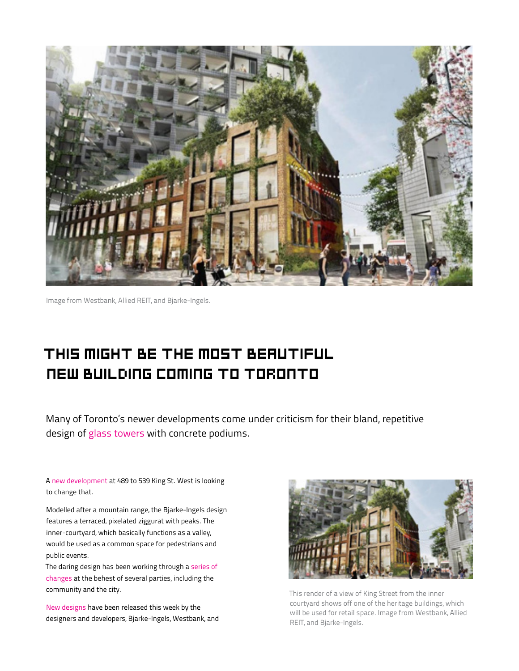

Image from Westbank, Allied REIT, and Bjarke-Ingels.

## This might be the most beautiful **This might be the most beautiful**  new building coming to Toronto Many of Toronto's newer developments come under criticism for their bland, repetitive **new building coming to Toronto** design of glass towers with concrete podiums.

Many of Toronto's newer developments come under criticism for their bland, repetitive design of [glass towers](https://www.blogto.com/city/2016/08/toronto_tries_to_go_beyond_the_generic_glass_condo/) with concrete podiums.

A [new development a](https://www.blogto.com/city/2016/02/apartments_of_the_future_coming_to_downtown_toronto/)t 489 to 539 King St. West is looking to change that.

Modelled after a mountain range, the Bjarke-Ingels design features a terraced, pixelated ziggurat with peaks. The inner-courtyard, which basically functions as a valley, would be used as a common space for pedestrians and public events.

[The daring design has been working through a series of](http://urbantoronto.ca/news/2017/05/update-bigs-king-west-20-impresses-public-planning-less)  changes at the behest of several parties, including the community and the city.

[New designs](http://urbantoronto.ca/news/2017/10/westbank-and-allied-reit-submit-king-west-20-rezoning) have been released this week by the designers and developers, Bjarke-Ingels, Westbank, and



This render of a view of King Street from the inner courtyard shows off one of the heritage buildings, which will be used for retail space. Image from Westbank, Allied REIT, and Bjarke-Ingels.